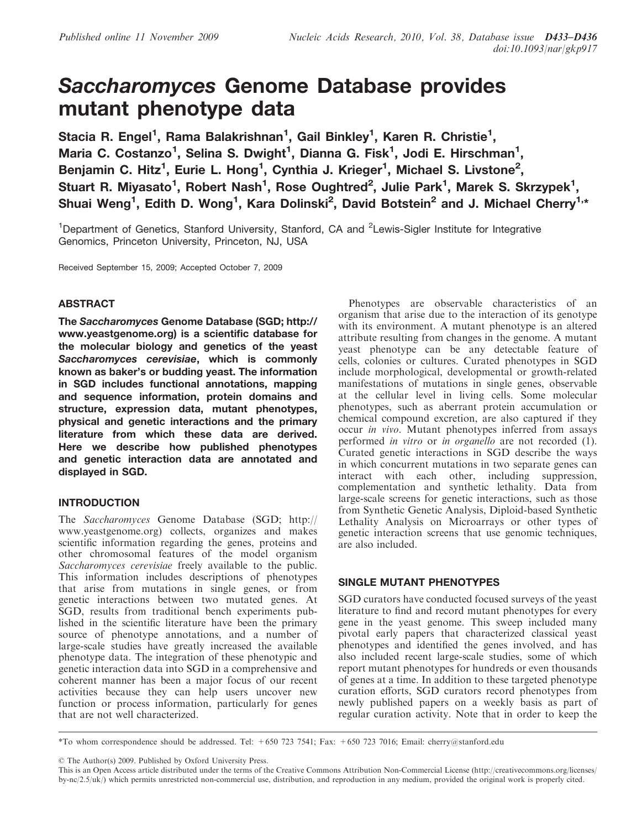# Saccharomyces Genome Database provides mutant phenotype data

Stacia R. Engel<sup>1</sup>, Rama Balakrishnan<sup>1</sup>, Gail Binkley<sup>1</sup>, Karen R. Christie<sup>1</sup>, Maria C. Costanzo<sup>1</sup>, Selina S. Dwight<sup>1</sup>, Dianna G. Fisk<sup>1</sup>, Jodi E. Hirschman<sup>1</sup>, Benjamin C. Hitz<sup>1</sup>, Eurie L. Hong<sup>1</sup>, Cynthia J. Krieger<sup>1</sup>, Michael S. Livstone<sup>2</sup>, Stuart R. Miyasato<sup>1</sup>, Robert Nash<sup>1</sup>, Rose Oughtred<sup>2</sup>, Julie Park<sup>1</sup>, Marek S. Skrzypek<sup>1</sup>, Shuai Weng<sup>1</sup>, Edith D. Wong<sup>1</sup>, Kara Dolinski<sup>2</sup>, David Botstein<sup>2</sup> and J. Michael Cherry<sup>1,\*</sup>

<sup>1</sup>Department of Genetics, Stanford University, Stanford, CA and <sup>2</sup>Lewis-Sigler Institute for Integrative Genomics, Princeton University, Princeton, NJ, USA

Received September 15, 2009; Accepted October 7, 2009

# ABSTRACT

The Saccharomyces Genome Database (SGD; http:// www.yeastgenome.org) is a scientific database for the molecular biology and genetics of the yeast Saccharomyces cerevisiae, which is commonly known as baker's or budding yeast. The information in SGD includes functional annotations, mapping and sequence information, protein domains and structure, expression data, mutant phenotypes, physical and genetic interactions and the primary literature from which these data are derived. Here we describe how published phenotypes and genetic interaction data are annotated and displayed in SGD.

## INTRODUCTION

The Saccharomyces Genome Database (SGD; http:// www.yeastgenome.org) collects, organizes and makes scientific information regarding the genes, proteins and other chromosomal features of the model organism Saccharomyces cerevisiae freely available to the public. This information includes descriptions of phenotypes that arise from mutations in single genes, or from genetic interactions between two mutated genes. At SGD, results from traditional bench experiments published in the scientific literature have been the primary source of phenotype annotations, and a number of large-scale studies have greatly increased the available phenotype data. The integration of these phenotypic and genetic interaction data into SGD in a comprehensive and coherent manner has been a major focus of our recent activities because they can help users uncover new function or process information, particularly for genes that are not well characterized.

Phenotypes are observable characteristics of an organism that arise due to the interaction of its genotype with its environment. A mutant phenotype is an altered attribute resulting from changes in the genome. A mutant yeast phenotype can be any detectable feature of cells, colonies or cultures. Curated phenotypes in SGD include morphological, developmental or growth-related manifestations of mutations in single genes, observable at the cellular level in living cells. Some molecular phenotypes, such as aberrant protein accumulation or chemical compound excretion, are also captured if they occur in vivo. Mutant phenotypes inferred from assays performed in vitro or in organello are not recorded (1). Curated genetic interactions in SGD describe the ways in which concurrent mutations in two separate genes can interact with each other, including suppression, complementation and synthetic lethality. Data from large-scale screens for genetic interactions, such as those from Synthetic Genetic Analysis, Diploid-based Synthetic Lethality Analysis on Microarrays or other types of genetic interaction screens that use genomic techniques, are also included.

## SINGLE MUTANT PHENOTYPES

SGD curators have conducted focused surveys of the yeast literature to find and record mutant phenotypes for every gene in the yeast genome. This sweep included many pivotal early papers that characterized classical yeast phenotypes and identified the genes involved, and has also included recent large-scale studies, some of which report mutant phenotypes for hundreds or even thousands of genes at a time. In addition to these targeted phenotype curation efforts, SGD curators record phenotypes from newly published papers on a weekly basis as part of regular curation activity. Note that in order to keep the

\*To whom correspondence should be addressed. Tel: +650 723 7541; Fax: +650 723 7016; Email: cherry@stanford.edu

© The Author(s) 2009. Published by Oxford University Press.

This is an Open Access article distributed under the terms of the Creative Commons Attribution Non-Commercial License (http://creativecommons.org/licenses/  $by-nc/2.5/uk/$ ) which permits unrestricted non-commercial use, distribution, and reproduction in any medium, provided the original work is properly cited.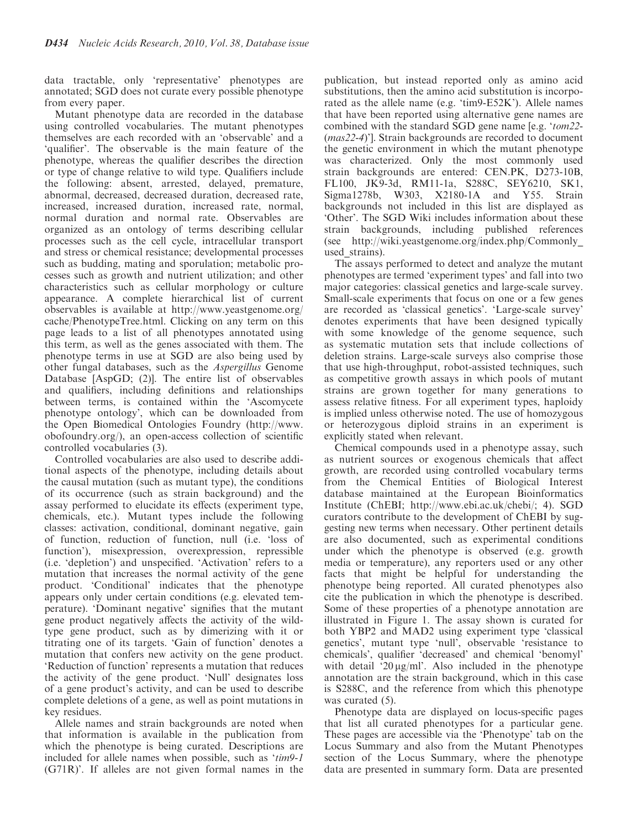data tractable, only 'representative' phenotypes are annotated; SGD does not curate every possible phenotype from every paper.

Mutant phenotype data are recorded in the database using controlled vocabularies. The mutant phenotypes themselves are each recorded with an 'observable' and a 'qualifier'. The observable is the main feature of the phenotype, whereas the qualifier describes the direction or type of change relative to wild type. Qualifiers include the following: absent, arrested, delayed, premature, abnormal, decreased, decreased duration, decreased rate, increased, increased duration, increased rate, normal, normal duration and normal rate. Observables are organized as an ontology of terms describing cellular processes such as the cell cycle, intracellular transport and stress or chemical resistance; developmental processes such as budding, mating and sporulation; metabolic processes such as growth and nutrient utilization; and other characteristics such as cellular morphology or culture appearance. A complete hierarchical list of current observables is available at http://www.yeastgenome.org/ cache/PhenotypeTree.html. Clicking on any term on this page leads to a list of all phenotypes annotated using this term, as well as the genes associated with them. The phenotype terms in use at SGD are also being used by other fungal databases, such as the Aspergillus Genome Database [AspGD; (2)]. The entire list of observables and qualifiers, including definitions and relationships between terms, is contained within the 'Ascomycete phenotype ontology', which can be downloaded from the Open Biomedical Ontologies Foundry (http://www. obofoundry.org/), an open-access collection of scientific controlled vocabularies (3).

Controlled vocabularies are also used to describe additional aspects of the phenotype, including details about the causal mutation (such as mutant type), the conditions of its occurrence (such as strain background) and the assay performed to elucidate its effects (experiment type, chemicals, etc.). Mutant types include the following classes: activation, conditional, dominant negative, gain of function, reduction of function, null (i.e. 'loss of function'), misexpression, overexpression, repressible (i.e. 'depletion') and unspecified. 'Activation' refers to a mutation that increases the normal activity of the gene product. 'Conditional' indicates that the phenotype appears only under certain conditions (e.g. elevated temperature). 'Dominant negative' signifies that the mutant gene product negatively affects the activity of the wildtype gene product, such as by dimerizing with it or titrating one of its targets. 'Gain of function' denotes a mutation that confers new activity on the gene product. 'Reduction of function' represents a mutation that reduces the activity of the gene product. 'Null' designates loss of a gene product's activity, and can be used to describe complete deletions of a gene, as well as point mutations in key residues.

Allele names and strain backgrounds are noted when that information is available in the publication from which the phenotype is being curated. Descriptions are included for allele names when possible, such as 'tim9-1 (G71R)'. If alleles are not given formal names in the publication, but instead reported only as amino acid substitutions, then the amino acid substitution is incorporated as the allele name (e.g. 'tim9-E52K'). Allele names that have been reported using alternative gene names are combined with the standard SGD gene name [e.g. 'tom22- (mas22-4)']. Strain backgrounds are recorded to document the genetic environment in which the mutant phenotype was characterized. Only the most commonly used strain backgrounds are entered: CEN.PK, D273-10B, FL100, JK9-3d, RM11-1a, S288C, SEY6210, SK1, Sigma1278b, W303, X2180-1A and Y55. Strain backgrounds not included in this list are displayed as 'Other'. The SGD Wiki includes information about these strain backgrounds, including published references (see http://wiki.yeastgenome.org/index.php/Commonly\_ used strains).

The assays performed to detect and analyze the mutant phenotypes are termed 'experiment types' and fall into two major categories: classical genetics and large-scale survey. Small-scale experiments that focus on one or a few genes are recorded as 'classical genetics'. 'Large-scale survey' denotes experiments that have been designed typically with some knowledge of the genome sequence, such as systematic mutation sets that include collections of deletion strains. Large-scale surveys also comprise those that use high-throughput, robot-assisted techniques, such as competitive growth assays in which pools of mutant strains are grown together for many generations to assess relative fitness. For all experiment types, haploidy is implied unless otherwise noted. The use of homozygous or heterozygous diploid strains in an experiment is explicitly stated when relevant.

Chemical compounds used in a phenotype assay, such as nutrient sources or exogenous chemicals that affect growth, are recorded using controlled vocabulary terms from the Chemical Entities of Biological Interest database maintained at the European Bioinformatics Institute (ChEBI; http://www.ebi.ac.uk/chebi/; 4). SGD curators contribute to the development of ChEBI by suggesting new terms when necessary. Other pertinent details are also documented, such as experimental conditions under which the phenotype is observed (e.g. growth media or temperature), any reporters used or any other facts that might be helpful for understanding the phenotype being reported. All curated phenotypes also cite the publication in which the phenotype is described. Some of these properties of a phenotype annotation are illustrated in Figure 1. The assay shown is curated for both YBP2 and MAD2 using experiment type 'classical genetics', mutant type 'null', observable 'resistance to chemicals', qualifier 'decreased' and chemical 'benomyl' with detail '20  $\mu$ g/ml'. Also included in the phenotype annotation are the strain background, which in this case is S288C, and the reference from which this phenotype was curated  $(5)$ .

Phenotype data are displayed on locus-specific pages that list all curated phenotypes for a particular gene. These pages are accessible via the 'Phenotype' tab on the Locus Summary and also from the Mutant Phenotypes section of the Locus Summary, where the phenotype data are presented in summary form. Data are presented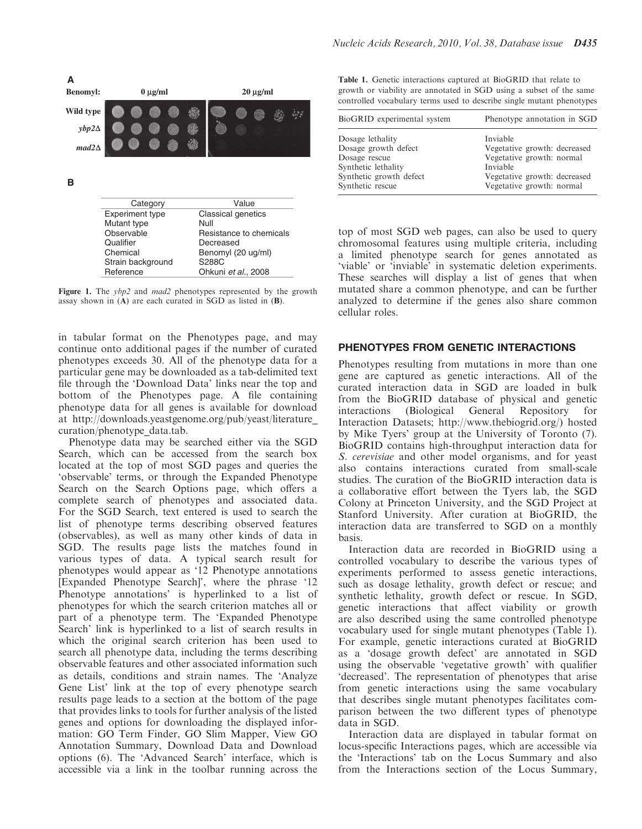

Figure 1. The *ybp2* and *mad2* phenotypes represented by the growth assay shown in  $(A)$  are each curated in SGD as listed in  $(B)$ .

in tabular format on the Phenotypes page, and may continue onto additional pages if the number of curated phenotypes exceeds 30. All of the phenotype data for a particular gene may be downloaded as a tab-delimited text file through the 'Download Data' links near the top and bottom of the Phenotypes page. A file containing phenotype data for all genes is available for download at http://downloads.yeastgenome.org/pub/yeast/literature\_ curation/phenotype\_data.tab.

Phenotype data may be searched either via the SGD Search, which can be accessed from the search box located at the top of most SGD pages and queries the 'observable' terms, or through the Expanded Phenotype Search on the Search Options page, which offers a complete search of phenotypes and associated data. For the SGD Search, text entered is used to search the list of phenotype terms describing observed features (observables), as well as many other kinds of data in SGD. The results page lists the matches found in various types of data. A typical search result for phenotypes would appear as '12 Phenotype annotations [Expanded Phenotype Search]', where the phrase '12 Phenotype annotations' is hyperlinked to a list of phenotypes for which the search criterion matches all or part of a phenotype term. The 'Expanded Phenotype Search' link is hyperlinked to a list of search results in which the original search criterion has been used to search all phenotype data, including the terms describing observable features and other associated information such as details, conditions and strain names. The 'Analyze Gene List' link at the top of every phenotype search results page leads to a section at the bottom of the page that provides links to tools for further analysis of the listed genes and options for downloading the displayed information: GO Term Finder, GO Slim Mapper, View GO Annotation Summary, Download Data and Download options (6). The 'Advanced Search' interface, which is accessible via a link in the toolbar running across the Table 1. Genetic interactions captured at BioGRID that relate to growth or viability are annotated in SGD using a subset of the same controlled vocabulary terms used to describe single mutant phenotypes

| BioGRID experimental system           | Phenotype annotation in SGD                               |
|---------------------------------------|-----------------------------------------------------------|
| Dosage lethality                      | Inviable                                                  |
| Dosage growth defect<br>Dosage rescue | Vegetative growth: decreased<br>Vegetative growth: normal |
| Synthetic lethality                   | Inviable                                                  |
| Synthetic growth defect               | Vegetative growth: decreased                              |
| Synthetic rescue                      | Vegetative growth: normal                                 |

top of most SGD web pages, can also be used to query chromosomal features using multiple criteria, including a limited phenotype search for genes annotated as 'viable' or 'inviable' in systematic deletion experiments. These searches will display a list of genes that when mutated share a common phenotype, and can be further analyzed to determine if the genes also share common cellular roles.

### PHENOTYPES FROM GENETIC INTERACTIONS

Phenotypes resulting from mutations in more than one gene are captured as genetic interactions. All of the curated interaction data in SGD are loaded in bulk from the BioGRID database of physical and genetic interactions (Biological General Repository for Interaction Datasets; http://www.thebiogrid.org/) hosted by Mike Tyers' group at the University of Toronto (7). BioGRID contains high-throughput interaction data for S. cerevisiae and other model organisms, and for yeast also contains interactions curated from small-scale studies. The curation of the BioGRID interaction data is a collaborative effort between the Tyers lab, the SGD Colony at Princeton University, and the SGD Project at Stanford University. After curation at BioGRID, the interaction data are transferred to SGD on a monthly basis.

Interaction data are recorded in BioGRID using a controlled vocabulary to describe the various types of experiments performed to assess genetic interactions, such as dosage lethality, growth defect or rescue; and synthetic lethality, growth defect or rescue. In SGD, genetic interactions that affect viability or growth are also described using the same controlled phenotype vocabulary used for single mutant phenotypes (Table 1). For example, genetic interactions curated at BioGRID as a 'dosage growth defect' are annotated in SGD using the observable 'vegetative growth' with qualifier 'decreased'. The representation of phenotypes that arise from genetic interactions using the same vocabulary that describes single mutant phenotypes facilitates comparison between the two different types of phenotype data in SGD.

Interaction data are displayed in tabular format on locus-specific Interactions pages, which are accessible via the 'Interactions' tab on the Locus Summary and also from the Interactions section of the Locus Summary,